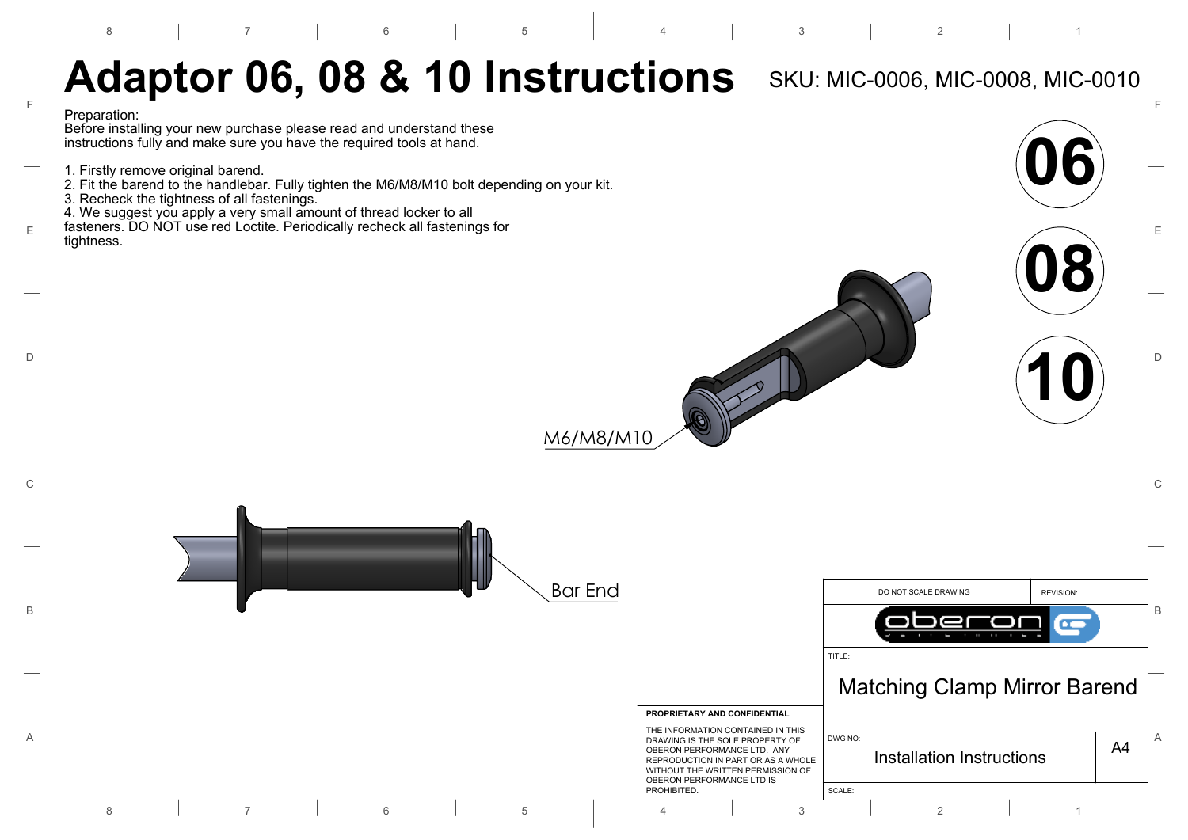7

6

4

2

1

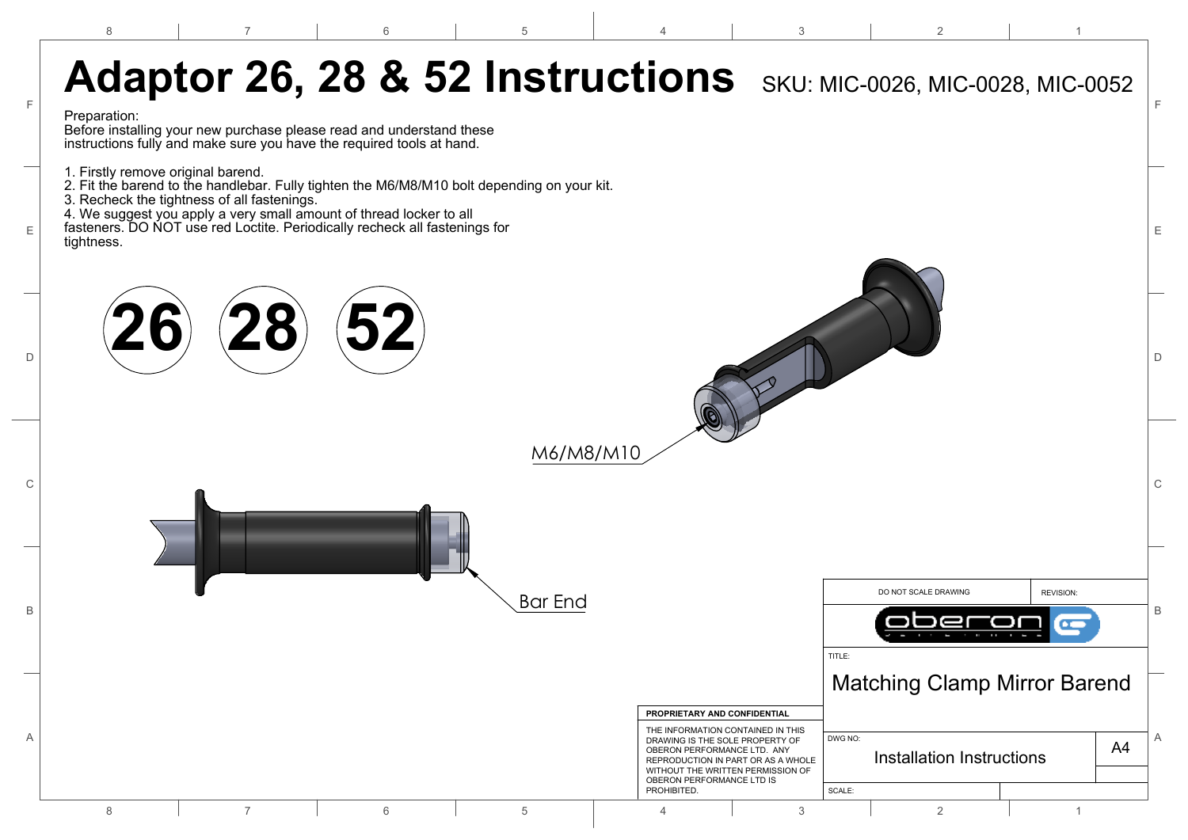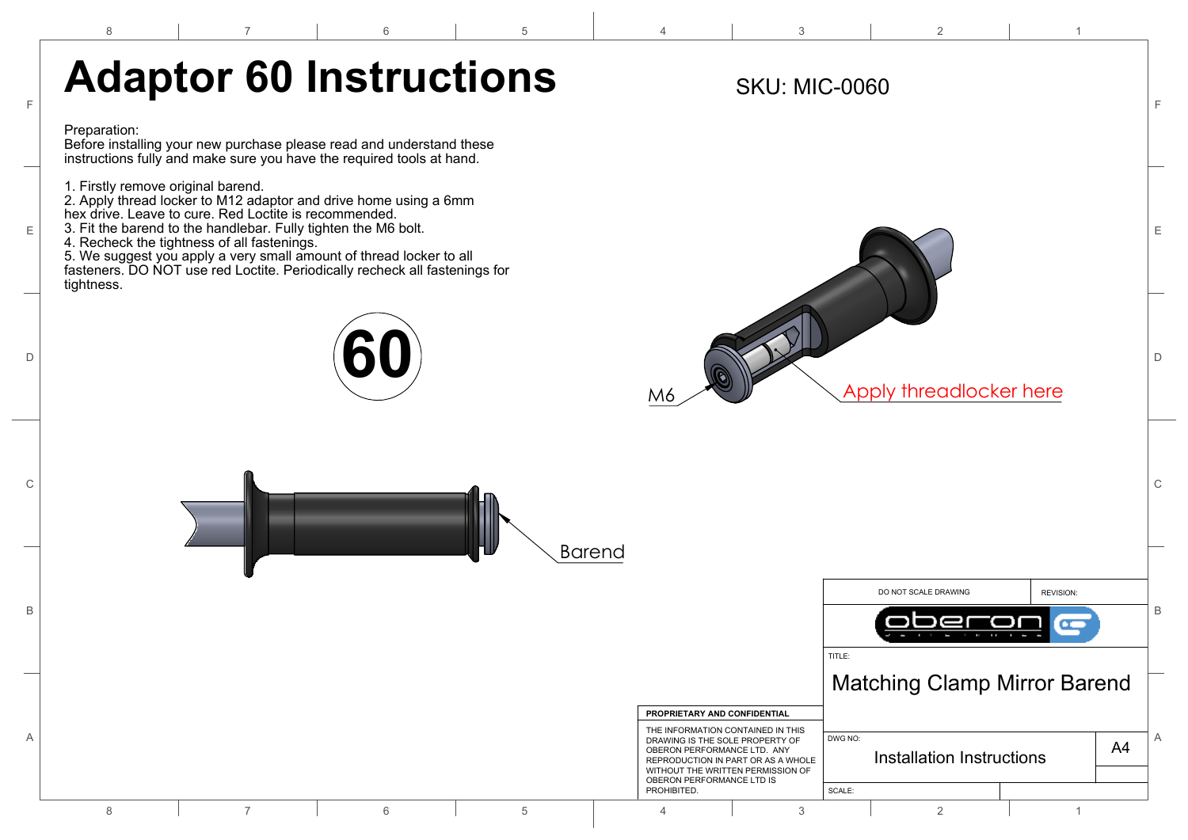6

7

4

2

 $\overline{a}$ 



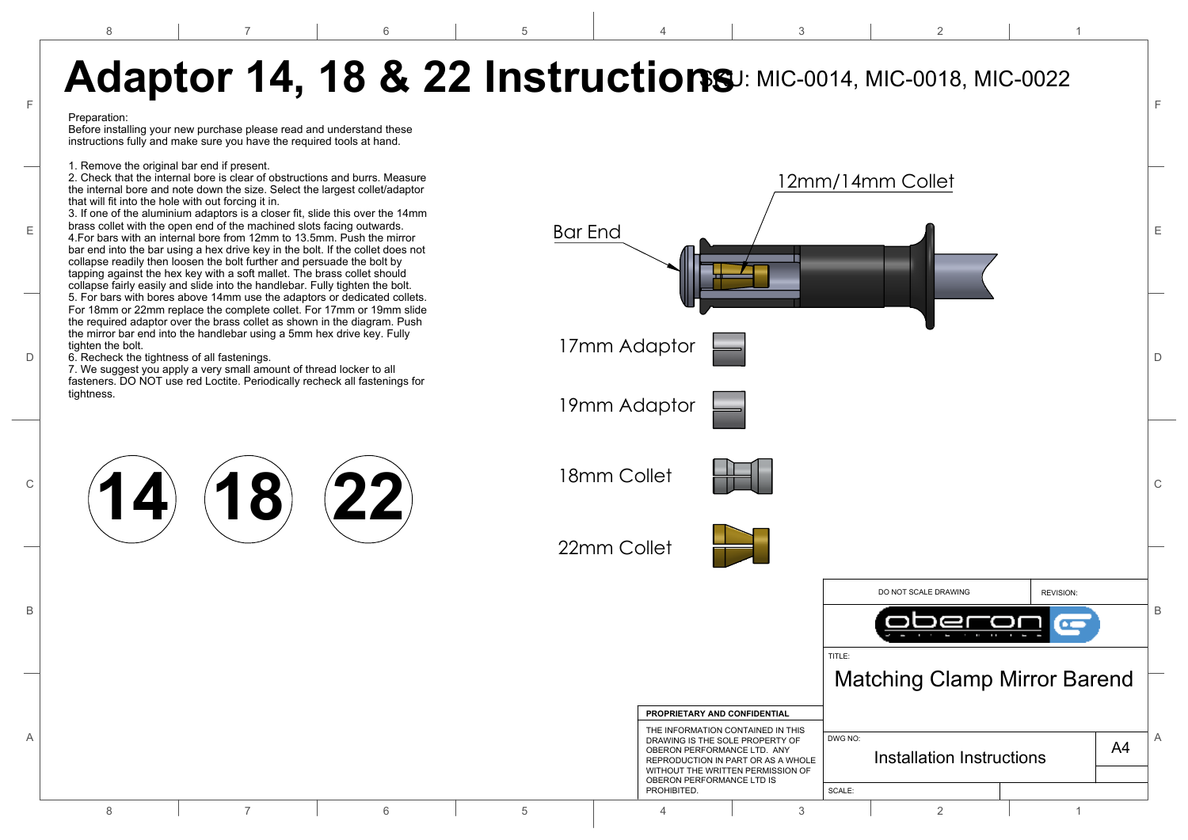12mm/14mm Collet Bar End 17mm Adaptor 19mm Adaptor 18mm Collet 22mm Collet **14 18 22** DO NOT SCALE DRAWING REVISION: TITLE: DWG NO: SCALE: A4 **PROPRIETARY AND CONFIDENTIAL** A BRAWING IS THE SOLE PROPERTY OF DWG NO: DRAWING IS THE SOLE PROPERTY OF DWG NO: B B  $\mathbb{C}$  (and  $\mathbb{C}$   $\mathbb{C}$   $\mathbb{C}$   $\mathbb{C}$   $\mathbb{C}$   $\mathbb{C}$   $\mathbb{C}$   $\mathbb{C}$   $\mathbb{C}$   $\mathbb{C}$   $\mathbb{C}$   $\mathbb{C}$   $\mathbb{C}$   $\mathbb{C}$   $\mathbb{C}$   $\mathbb{C}$   $\mathbb{C}$   $\mathbb{C}$   $\mathbb{C}$   $\mathbb{C}$   $\mathbb{C}$   $\mathbb{C}$   $\mathbb{C}$  D D 6. Recheck the tightness of all fastenings. E  $\left\lfloor \frac{3}{4} \right\rfloor$  a. For bars with an internal bore from 12mm to 13.5mm. Push the mirror  $\left\lfloor \frac{3}{4} \right\rfloor$ F F 8 7 7 6 6 5 4 4 3 3 2 2 1 THE INFORMATION CONTAINED IN THIS OBERON PERFORMANCE LTD. ANY REPRODUCTION IN PART OR AS A WHOLE WITHOUT THE WRITTEN PERMISSION OF OBERON PERFORMANCE LTD IS **PROHIBITED.** Matching Clamp Mirror Barend Installation Instructions **Adaptor 14, 18 & 22 Instructions**J: MIC-0014, MIC-0018, MIC-0022 Preparation: Before installing your new purchase please read and understand these instructions fully and make sure you have the required tools at hand. 1. Remove the original bar end if present. 2. Check that the internal bore is clear of obstructions and burrs. Measure the internal bore and note down the size. Select the largest collet/adaptor that will fit into the hole with out forcing it in. 3. If one of the aluminium adaptors is a closer fit, slide this over the 14mm brass collet with the open end of the machined slots facing outwards. bar end into the bar using a hex drive key in the bolt. If the collet does not collapse readily then loosen the bolt further and persuade the bolt by tapping against the hex key with a soft mallet. The brass collet should collapse fairly easily and slide into the handlebar. Fully tighten the bolt. 5. For bars with bores above 14mm use the adaptors or dedicated collets. For 18mm or 22mm replace the complete collet. For 17mm or 19mm slide the required adaptor over the brass collet as shown in the diagram. Push the mirror bar end into the handlebar using a 5mm hex drive key. Fully tighten the bolt. 7. We suggest you apply a very small amount of thread locker to all fasteners. DO NOT use red Loctite. Periodically recheck all fastenings for tightness.